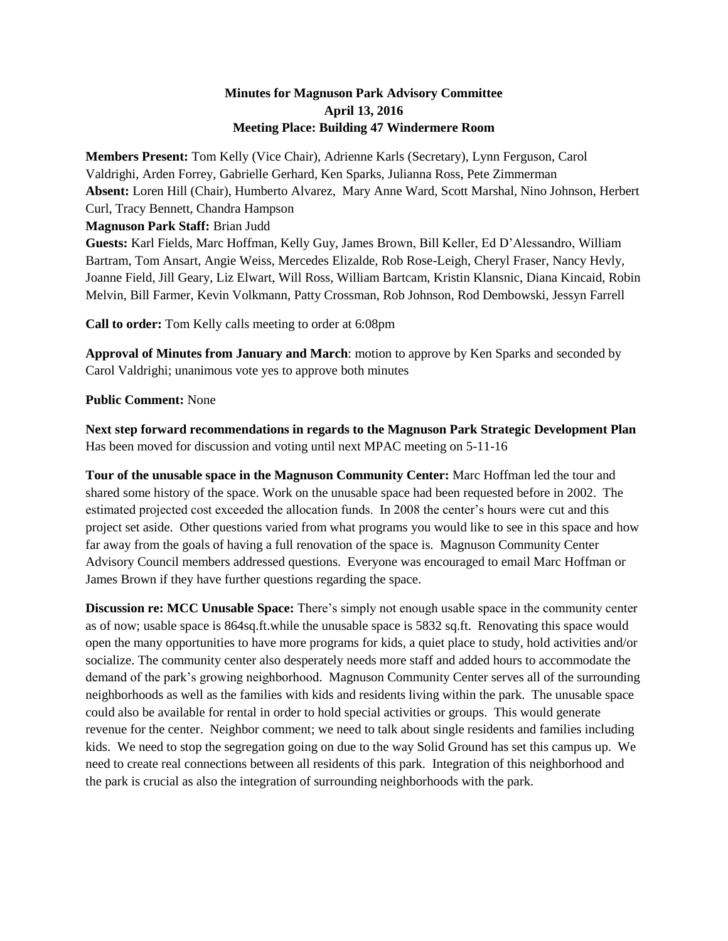## **Minutes for Magnuson Park Advisory Committee April 13, 2016 Meeting Place: Building 47 Windermere Room**

**Members Present:** Tom Kelly (Vice Chair), Adrienne Karls (Secretary), Lynn Ferguson, Carol Valdrighi, Arden Forrey, Gabrielle Gerhard, Ken Sparks, Julianna Ross, Pete Zimmerman **Absent:** Loren Hill (Chair), Humberto Alvarez, Mary Anne Ward, Scott Marshal, Nino Johnson, Herbert Curl, Tracy Bennett, Chandra Hampson

**Magnuson Park Staff:** Brian Judd

**Guests:** Karl Fields, Marc Hoffman, Kelly Guy, James Brown, Bill Keller, Ed D'Alessandro, William Bartram, Tom Ansart, Angie Weiss, Mercedes Elizalde, Rob Rose-Leigh, Cheryl Fraser, Nancy Hevly, Joanne Field, Jill Geary, Liz Elwart, Will Ross, William Bartcam, Kristin Klansnic, Diana Kincaid, Robin Melvin, Bill Farmer, Kevin Volkmann, Patty Crossman, Rob Johnson, Rod Dembowski, Jessyn Farrell

**Call to order:** Tom Kelly calls meeting to order at 6:08pm

**Approval of Minutes from January and March**: motion to approve by Ken Sparks and seconded by Carol Valdrighi; unanimous vote yes to approve both minutes

## **Public Comment:** None

**Next step forward recommendations in regards to the Magnuson Park Strategic Development Plan** Has been moved for discussion and voting until next MPAC meeting on 5-11-16

**Tour of the unusable space in the Magnuson Community Center:** Marc Hoffman led the tour and shared some history of the space. Work on the unusable space had been requested before in 2002. The estimated projected cost exceeded the allocation funds. In 2008 the center's hours were cut and this project set aside. Other questions varied from what programs you would like to see in this space and how far away from the goals of having a full renovation of the space is. Magnuson Community Center Advisory Council members addressed questions. Everyone was encouraged to email Marc Hoffman or James Brown if they have further questions regarding the space.

**Discussion re: MCC Unusable Space:** There's simply not enough usable space in the community center as of now; usable space is 864sq.ft.while the unusable space is 5832 sq.ft. Renovating this space would open the many opportunities to have more programs for kids, a quiet place to study, hold activities and/or socialize. The community center also desperately needs more staff and added hours to accommodate the demand of the park's growing neighborhood. Magnuson Community Center serves all of the surrounding neighborhoods as well as the families with kids and residents living within the park. The unusable space could also be available for rental in order to hold special activities or groups. This would generate revenue for the center. Neighbor comment; we need to talk about single residents and families including kids. We need to stop the segregation going on due to the way Solid Ground has set this campus up. We need to create real connections between all residents of this park. Integration of this neighborhood and the park is crucial as also the integration of surrounding neighborhoods with the park.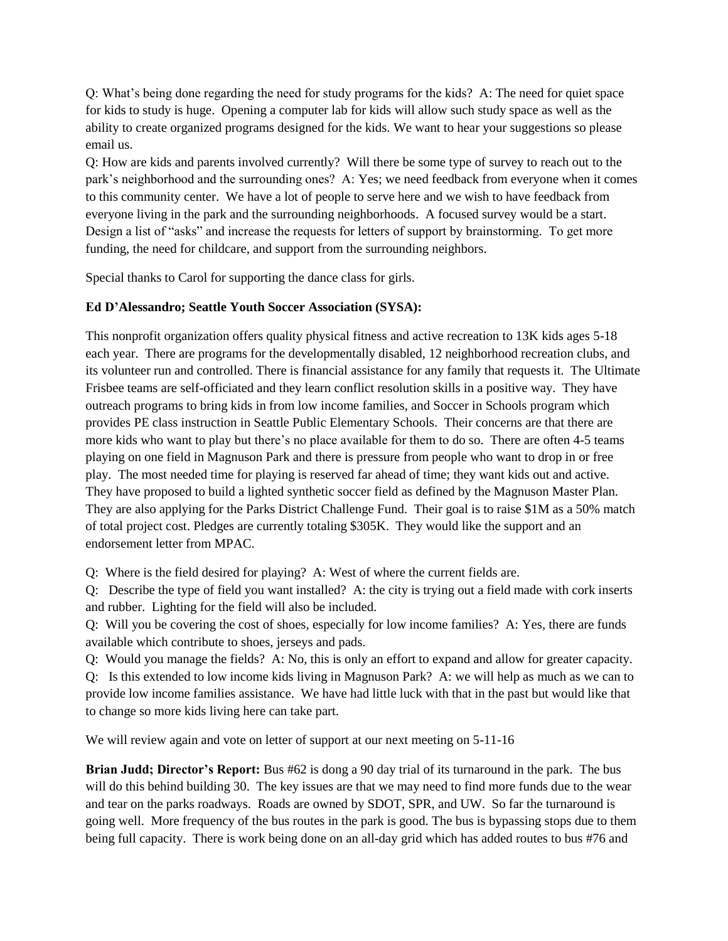Q: What's being done regarding the need for study programs for the kids? A: The need for quiet space for kids to study is huge. Opening a computer lab for kids will allow such study space as well as the ability to create organized programs designed for the kids. We want to hear your suggestions so please email us.

Q: How are kids and parents involved currently? Will there be some type of survey to reach out to the park's neighborhood and the surrounding ones? A: Yes; we need feedback from everyone when it comes to this community center. We have a lot of people to serve here and we wish to have feedback from everyone living in the park and the surrounding neighborhoods. A focused survey would be a start. Design a list of "asks" and increase the requests for letters of support by brainstorming. To get more funding, the need for childcare, and support from the surrounding neighbors.

Special thanks to Carol for supporting the dance class for girls.

## **Ed D'Alessandro; Seattle Youth Soccer Association (SYSA):**

This nonprofit organization offers quality physical fitness and active recreation to 13K kids ages 5-18 each year. There are programs for the developmentally disabled, 12 neighborhood recreation clubs, and its volunteer run and controlled. There is financial assistance for any family that requests it. The Ultimate Frisbee teams are self-officiated and they learn conflict resolution skills in a positive way. They have outreach programs to bring kids in from low income families, and Soccer in Schools program which provides PE class instruction in Seattle Public Elementary Schools. Their concerns are that there are more kids who want to play but there's no place available for them to do so. There are often 4-5 teams playing on one field in Magnuson Park and there is pressure from people who want to drop in or free play. The most needed time for playing is reserved far ahead of time; they want kids out and active. They have proposed to build a lighted synthetic soccer field as defined by the Magnuson Master Plan. They are also applying for the Parks District Challenge Fund. Their goal is to raise \$1M as a 50% match of total project cost. Pledges are currently totaling \$305K. They would like the support and an endorsement letter from MPAC.

Q: Where is the field desired for playing? A: West of where the current fields are.

Q: Describe the type of field you want installed? A: the city is trying out a field made with cork inserts and rubber. Lighting for the field will also be included.

Q: Will you be covering the cost of shoes, especially for low income families? A: Yes, there are funds available which contribute to shoes, jerseys and pads.

Q: Would you manage the fields? A: No, this is only an effort to expand and allow for greater capacity. Q: Is this extended to low income kids living in Magnuson Park? A: we will help as much as we can to provide low income families assistance. We have had little luck with that in the past but would like that

to change so more kids living here can take part.

We will review again and vote on letter of support at our next meeting on 5-11-16

**Brian Judd; Director's Report:** Bus #62 is dong a 90 day trial of its turnaround in the park. The bus will do this behind building 30. The key issues are that we may need to find more funds due to the wear and tear on the parks roadways. Roads are owned by SDOT, SPR, and UW. So far the turnaround is going well. More frequency of the bus routes in the park is good. The bus is bypassing stops due to them being full capacity. There is work being done on an all-day grid which has added routes to bus #76 and